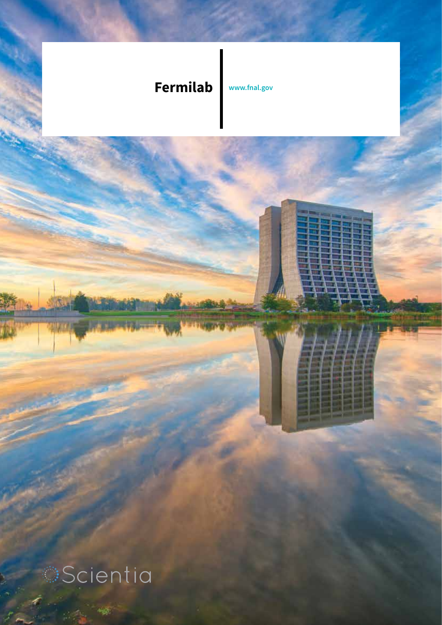## **Fermilab www.fnal.gov**

**Scientia**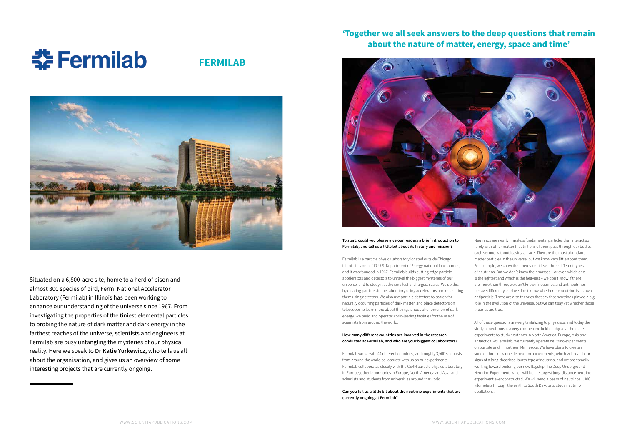Situated on a 6,800-acre site, home to a herd of bison and almost 300 species of bird, Fermi National Accelerator Laboratory (Fermilab) in Illinois has been working to enhance our understanding of the universe since 1967. From investigating the properties of the tiniest elemental particles to probing the nature of dark matter and dark energy in the farthest reaches of the universe, scientists and engineers at Fermilab are busy untangling the mysteries of our physical reality. Here we speak to **Dr Katie Yurkewicz,** who tells us all about the organisation, and gives us an overview of some interesting projects that are currently ongoing.

#### **To start, could you please give our readers a brief introduction to Fermilab, and tell us a little bit about its history and mission?**

Fermilab is a particle physics laboratory located outside Chicago, Illinois. It is one of 17 U.S. Department of Energy national laboratories, and it was founded in 1967. Fermilab builds cutting-edge particle accelerators and detectors to unravel the biggest mysteries of our universe, and to study it at the smallest and largest scales. We do this by creating particles in the laboratory using accelerators and measuring them using detectors. We also use particle detectors to search for naturally occurring particles of dark matter, and place detectors on telescopes to learn more about the mysterious phenomenon of dark energy. We build and operate world-leading facilities for the use of scientists from around the world.

#### **How many different countries are involved in the research conducted at Fermilab, and who are your biggest collaborators?**

Fermilab works with 44 different countries, and roughly 3,500 scientists from around the world collaborate with us on our experiments. Fermilab collaborates closely with the CERN particle physics laboratory in Europe, other laboratories in Europe, North America and Asia, and scientists and students from universities around the world.

**Can you tell us a little bit about the neutrino experiments that are currently ongoing at Fermilab?**

# **: Fermilab**

**FERMILAB**



Neutrinos are nearly massless fundamental particles that interact so rarely with other matter that trillions of them pass through our bodies each second without leaving a trace. They are the most abundant matter particles in the universe, but we know very little about them. For example, we know that there are at least three different types of neutrinos. But we don't know their masses – or even which one is the lightest and which is the heaviest – we don't know if there are more than three, we don't know if neutrinos and antineutrinos behave differently, and we don't know whether the neutrino is its own antiparticle. There are also theories that say that neutrinos played a big role in the evolution of the universe, but we can't say yet whether those theories are true.

All of these questions are very tantalizing to physicists, and today the study of neutrinos is a very competitive field of physics. There are experiments to study neutrinos in North America, Europe, Asia and Antarctica. At Fermilab, we currently operate neutrino experiments on our site and in northern Minnesota. We have plans to create a suite of three new on-site neutrino experiments, which will search for signs of a long-theorized fourth type of neutrino, and we are steadily working toward building our new flagship, the Deep Underground Neutrino Experiment, which will be the largest long-distance neutrino experiment ever constructed. We will send a beam of neutrinos 1,300 kilometers through the earth to South Dakota to study neutrino oscillations.

## **'Together we all seek answers to the deep questions that remain about the nature of matter, energy, space and time'**